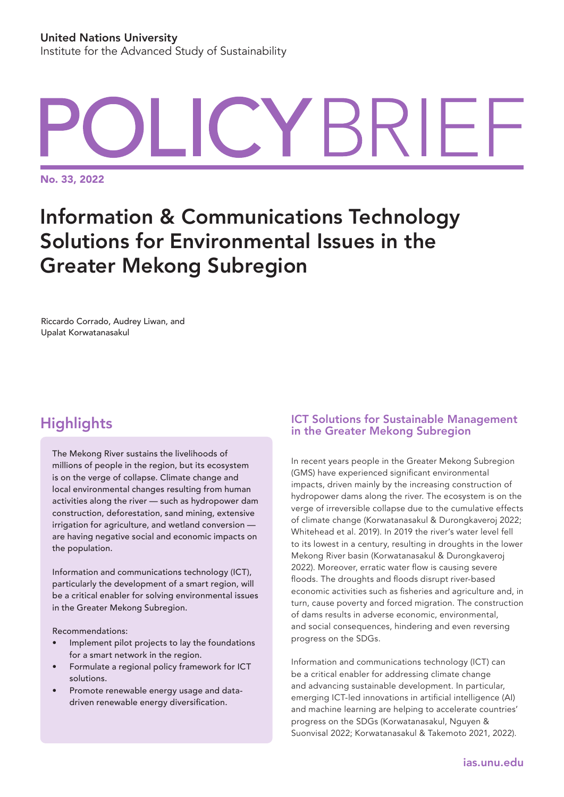# YBRIFI

No. 33, 2022

## Information & Communications Technology Solutions for Environmental Issues in the Greater Mekong Subregion

Riccardo Corrado, Audrey Liwan, and Upalat Korwatanasakul

### **Highlights**

The Mekong River sustains the livelihoods of millions of people in the region, but its ecosystem is on the verge of collapse. Climate change and local environmental changes resulting from human activities along the river — such as hydropower dam construction, deforestation, sand mining, extensive irrigation for agriculture, and wetland conversion are having negative social and economic impacts on the population.

Information and communications technology (ICT), particularly the development of a smart region, will be a critical enabler for solving environmental issues in the Greater Mekong Subregion.

Recommendations:

- Implement pilot projects to lay the foundations for a smart network in the region.
- Formulate a regional policy framework for ICT solutions.
- Promote renewable energy usage and datadriven renewable energy diversification.

#### ICT Solutions for Sustainable Management in the Greater Mekong Subregion

In recent years people in the Greater Mekong Subregion (GMS) have experienced significant environmental impacts, driven mainly by the increasing construction of hydropower dams along the river. The ecosystem is on the verge of irreversible collapse due to the cumulative effects of climate change (Korwatanasakul & Durongkaveroj 2022; Whitehead et al. 2019). In 2019 the river's water level fell to its lowest in a century, resulting in droughts in the lower Mekong River basin (Korwatanasakul & Durongkaveroj 2022). Moreover, erratic water flow is causing severe floods. The droughts and floods disrupt river-based economic activities such as fisheries and agriculture and, in turn, cause poverty and forced migration. The construction of dams results in adverse economic, environmental, and social consequences, hindering and even reversing progress on the SDGs.

Information and communications technology (ICT) can be a critical enabler for addressing climate change and advancing sustainable development. In particular, emerging ICT-led innovations in artificial intelligence (AI) and machine learning are helping to accelerate countries' progress on the SDGs (Korwatanasakul, Nguyen & Suonvisal 2022; Korwatanasakul & Takemoto 2021, 2022).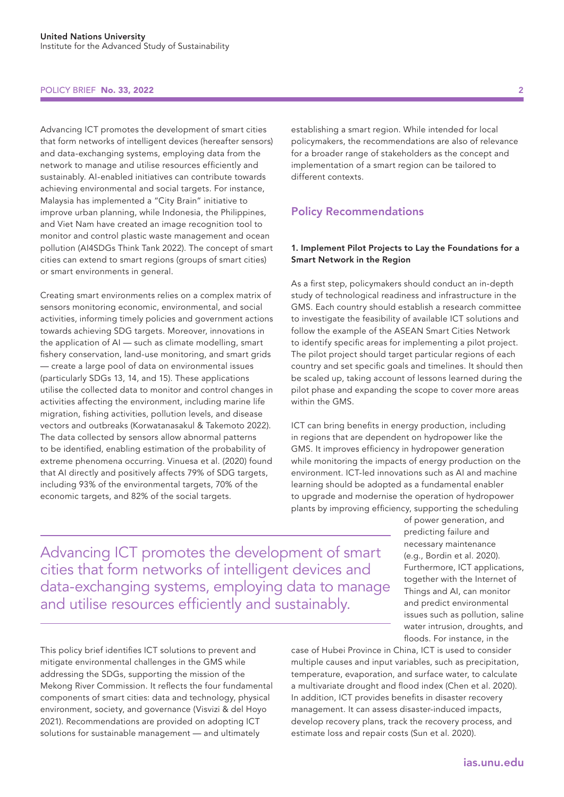#### POLICY BRIEF No. 33, 2022

Advancing ICT promotes the development of smart cities that form networks of intelligent devices (hereafter sensors) and data-exchanging systems, employing data from the network to manage and utilise resources efficiently and sustainably. AI-enabled initiatives can contribute towards achieving environmental and social targets. For instance, Malaysia has implemented a "City Brain" initiative to improve urban planning, while Indonesia, the Philippines, and Viet Nam have created an image recognition tool to monitor and control plastic waste management and ocean pollution (AI4SDGs Think Tank 2022). The concept of smart cities can extend to smart regions (groups of smart cities) or smart environments in general.

Creating smart environments relies on a complex matrix of sensors monitoring economic, environmental, and social activities, informing timely policies and government actions towards achieving SDG targets. Moreover, innovations in the application of AI — such as climate modelling, smart fishery conservation, land-use monitoring, and smart grids — create a large pool of data on environmental issues (particularly SDGs 13, 14, and 15). These applications utilise the collected data to monitor and control changes in activities affecting the environment, including marine life migration, fishing activities, pollution levels, and disease vectors and outbreaks (Korwatanasakul & Takemoto 2022). The data collected by sensors allow abnormal patterns to be identified, enabling estimation of the probability of extreme phenomena occurring. Vinuesa et al. (2020) found that AI directly and positively affects 79% of SDG targets, including 93% of the environmental targets, 70% of the economic targets, and 82% of the social targets.

establishing a smart region. While intended for local policymakers, the recommendations are also of relevance for a broader range of stakeholders as the concept and implementation of a smart region can be tailored to different contexts.

#### Policy Recommendations

#### 1. Implement Pilot Projects to Lay the Foundations for a Smart Network in the Region

As a first step, policymakers should conduct an in-depth study of technological readiness and infrastructure in the GMS. Each country should establish a research committee to investigate the feasibility of available ICT solutions and follow the example of the ASEAN Smart Cities Network to identify specific areas for implementing a pilot project. The pilot project should target particular regions of each country and set specific goals and timelines. It should then be scaled up, taking account of lessons learned during the pilot phase and expanding the scope to cover more areas within the GMS.

ICT can bring benefits in energy production, including in regions that are dependent on hydropower like the GMS. It improves efficiency in hydropower generation while monitoring the impacts of energy production on the environment. ICT-led innovations such as AI and machine learning should be adopted as a fundamental enabler to upgrade and modernise the operation of hydropower plants by improving efficiency, supporting the scheduling

> of power generation, and predicting failure and necessary maintenance (e.g., Bordin et al. 2020). Furthermore, ICT applications, together with the Internet of Things and AI, can monitor and predict environmental issues such as pollution, saline water intrusion, droughts, and floods. For instance, in the

Advancing ICT promotes the development of smart cities that form networks of intelligent devices and data-exchanging systems, employing data to manage and utilise resources efficiently and sustainably.

This policy brief identifies ICT solutions to prevent and mitigate environmental challenges in the GMS while addressing the SDGs, supporting the mission of the Mekong River Commission. It reflects the four fundamental components of smart cities: data and technology, physical environment, society, and governance (Visvizi & del Hoyo 2021). Recommendations are provided on adopting ICT solutions for sustainable management — and ultimately

case of Hubei Province in China, ICT is used to consider multiple causes and input variables, such as precipitation, temperature, evaporation, and surface water, to calculate a multivariate drought and flood index (Chen et al. 2020). In addition, ICT provides benefits in disaster recovery management. It can assess disaster-induced impacts, develop recovery plans, track the recovery process, and estimate loss and repair costs (Sun et al. 2020).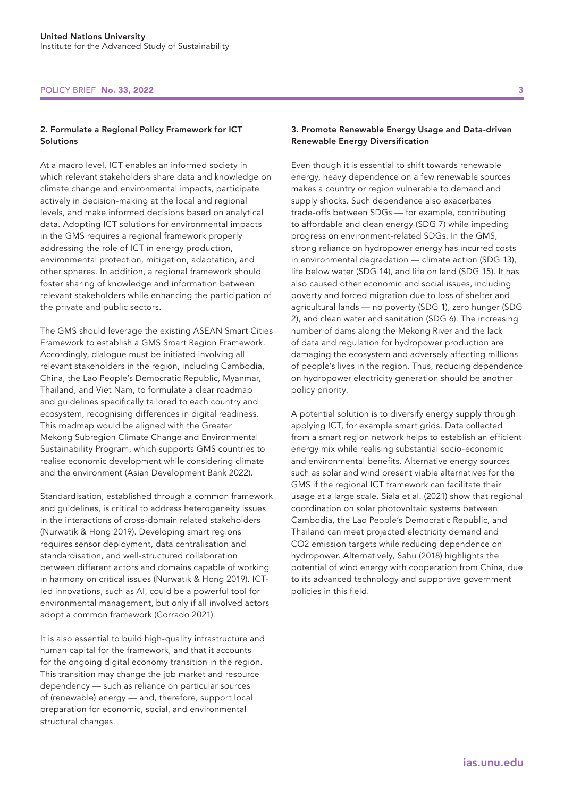#### POLICY BRIEF No. 33, 2022 3

#### 2. Formulate a Regional Policy Framework for ICT Solutions

At a macro level, ICT enables an informed society in which relevant stakeholders share data and knowledge on climate change and environmental impacts, participate actively in decision-making at the local and regional levels, and make informed decisions based on analytical data. Adopting ICT solutions for environmental impacts in the GMS requires a regional framework properly addressing the role of ICT in energy production, environmental protection, mitigation, adaptation, and other spheres. In addition, a regional framework should foster sharing of knowledge and information between relevant stakeholders while enhancing the participation of the private and public sectors.

The GMS should leverage the existing ASEAN Smart Cities Framework to establish a GMS Smart Region Framework. Accordingly, dialogue must be initiated involving all relevant stakeholders in the region, including Cambodia, China, the Lao People's Democratic Republic, Myanmar, Thailand, and Viet Nam, to formulate a clear roadmap and guidelines specifically tailored to each country and ecosystem, recognising differences in digital readiness. This roadmap would be aligned with the Greater Mekong Subregion Climate Change and Environmental Sustainability Program, which supports GMS countries to realise economic development while considering climate and the environment (Asian Development Bank 2022).

Standardisation, established through a common framework and guidelines, is critical to address heterogeneity issues in the interactions of cross-domain related stakeholders (Nurwatik & Hong 2019). Developing smart regions requires sensor deployment, data centralisation and standardisation, and well-structured collaboration between different actors and domains capable of working in harmony on critical issues (Nurwatik & Hong 2019). ICTled innovations, such as AI, could be a powerful tool for environmental management, but only if all involved actors adopt a common framework (Corrado 2021).

It is also essential to build high-quality infrastructure and human capital for the framework, and that it accounts for the ongoing digital economy transition in the region. This transition may change the job market and resource dependency — such as reliance on particular sources of (renewable) energy — and, therefore, support local preparation for economic, social, and environmental structural changes.

#### 3. Promote Renewable Energy Usage and Data-driven Renewable Energy Diversification

Even though it is essential to shift towards renewable energy, heavy dependence on a few renewable sources makes a country or region vulnerable to demand and supply shocks. Such dependence also exacerbates trade-offs between SDGs — for example, contributing to affordable and clean energy (SDG 7) while impeding progress on environment-related SDGs. In the GMS, strong reliance on hydropower energy has incurred costs in environmental degradation — climate action (SDG 13), life below water (SDG 14), and life on land (SDG 15). It has also caused other economic and social issues, including poverty and forced migration due to loss of shelter and agricultural lands — no poverty (SDG 1), zero hunger (SDG 2), and clean water and sanitation (SDG 6). The increasing number of dams along the Mekong River and the lack of data and regulation for hydropower production are damaging the ecosystem and adversely affecting millions of people's lives in the region. Thus, reducing dependence on hydropower electricity generation should be another policy priority.

A potential solution is to diversify energy supply through applying ICT, for example smart grids. Data collected from a smart region network helps to establish an efficient energy mix while realising substantial socio-economic and environmental benefits. Alternative energy sources such as solar and wind present viable alternatives for the GMS if the regional ICT framework can facilitate their usage at a large scale. Siala et al. (2021) show that regional coordination on solar photovoltaic systems between Cambodia, the Lao People's Democratic Republic, and Thailand can meet projected electricity demand and CO2 emission targets while reducing dependence on hydropower. Alternatively, Sahu (2018) highlights the potential of wind energy with cooperation from China, due to its advanced technology and supportive government policies in this field.